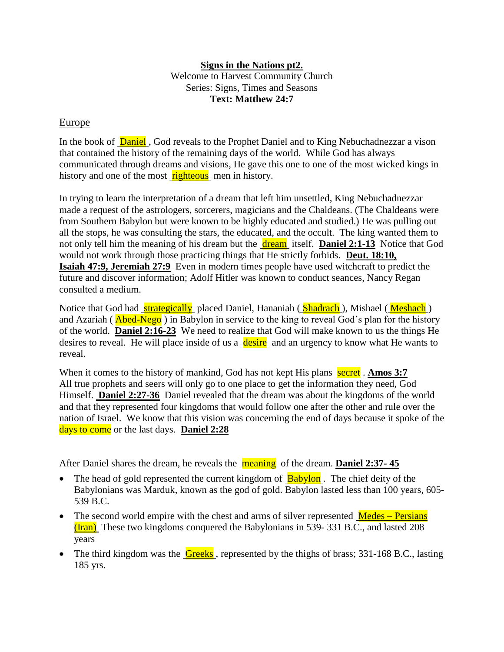## **Signs in the Nations pt2.** Welcome to Harvest Community Church Series: Signs, Times and Seasons **Text: Matthew 24:7**

## Europe

In the book of **Daniel**, God reveals to the Prophet Daniel and to King Nebuchadnezzar a vison that contained the history of the remaining days of the world. While God has always communicated through dreams and visions, He gave this one to one of the most wicked kings in history and one of the most righteous men in history.

In trying to learn the interpretation of a dream that left him unsettled, King Nebuchadnezzar made a request of the astrologers, sorcerers, magicians and the Chaldeans. (The Chaldeans were from Southern Babylon but were known to be highly educated and studied.) He was pulling out all the stops, he was consulting the stars, the educated, and the occult. The king wanted them to not only tell him the meaning of his dream but the dream itself. **Daniel 2:1-13** Notice that God would not work through those practicing things that He strictly forbids. **Deut. 18:10, Isaiah 47:9, Jeremiah 27:9** Even in modern times people have used witchcraft to predict the future and discover information; Adolf Hitler was known to conduct seances, Nancy Regan consulted a medium.

Notice that God had **strategically** placed Daniel, Hananiah (**Shadrach**), Mishael (Meshach) and Azariah ( **Abed-Nego** ) in Babylon in service to the king to reveal God's plan for the history of the world. **Daniel 2:16-23** We need to realize that God will make known to us the things He desires to reveal. He will place inside of us a desire and an urgency to know what He wants to reveal.

When it comes to the history of mankind, God has not kept His plans secret. **Amos 3:7** All true prophets and seers will only go to one place to get the information they need, God Himself. **Daniel 2:27-36** Daniel revealed that the dream was about the kingdoms of the world and that they represented four kingdoms that would follow one after the other and rule over the nation of Israel. We know that this vision was concerning the end of days because it spoke of the days to come or the last days. **Daniel 2:28**

After Daniel shares the dream, he reveals the **meaning** of the dream. **Daniel 2:37-45** 

- The head of gold represented the current kingdom of **Babylon**. The chief deity of the Babylonians was Marduk, known as the god of gold. Babylon lasted less than 100 years, 605- 539 B.C.
- $\bullet$  The second world empire with the chest and arms of silver represented  $\overline{\text{Medes}-\text{Persians}}$ (Iran) These two kingdoms conquered the Babylonians in 539- 331 B.C., and lasted 208 years
- The third kingdom was the  $Greeks$ , represented by the thighs of brass; 331-168 B.C., lasting 185 yrs.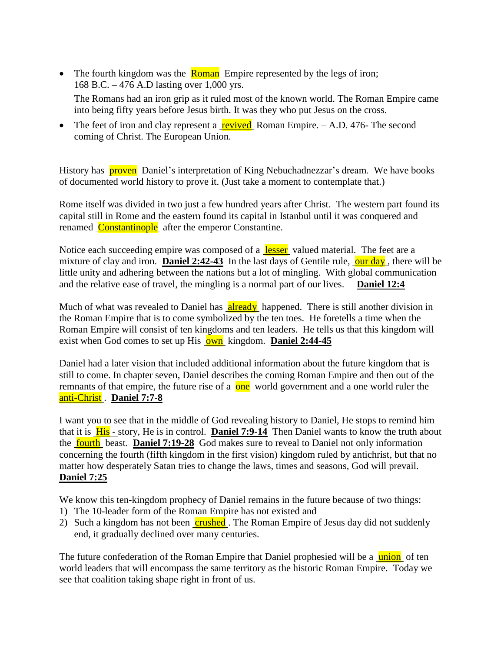- The fourth kingdom was the  $\frac{Roman}{R}$  Empire represented by the legs of iron; 168 B.C. – 476 A.D lasting over 1,000 yrs. The Romans had an iron grip as it ruled most of the known world. The Roman Empire came into being fifty years before Jesus birth. It was they who put Jesus on the cross.
- The feet of iron and clay represent a revived Roman Empire.  $A.D. 476$ -The second coming of Christ. The European Union.

History has **proven** Daniel's interpretation of King Nebuchadnezzar's dream. We have books of documented world history to prove it. (Just take a moment to contemplate that.)

Rome itself was divided in two just a few hundred years after Christ. The western part found its capital still in Rome and the eastern found its capital in Istanbul until it was conquered and renamed Constantinople after the emperor Constantine.

Notice each succeeding empire was composed of a lesser valued material. The feet are a mixture of clay and iron. **Daniel 2:42-43** In the last days of Gentile rule, our day, there will be little unity and adhering between the nations but a lot of mingling. With global communication and the relative ease of travel, the mingling is a normal part of our lives. **Daniel 12:4**

Much of what was revealed to Daniel has **already** happened. There is still another division in the Roman Empire that is to come symbolized by the ten toes. He foretells a time when the Roman Empire will consist of ten kingdoms and ten leaders. He tells us that this kingdom will exist when God comes to set up His **own** kingdom. **Daniel 2:44-45** 

Daniel had a later vision that included additional information about the future kingdom that is still to come. In chapter seven, Daniel describes the coming Roman Empire and then out of the remnants of that empire, the future rise of a **one** world government and a one world ruler the anti-Christ . **Daniel 7:7-8**

I want you to see that in the middle of God revealing history to Daniel, He stops to remind him that it is His - story, He is in control. **Daniel 7:9-14** Then Daniel wants to know the truth about the **fourth** beast. **Daniel 7:19-28** God makes sure to reveal to Daniel not only information concerning the fourth (fifth kingdom in the first vision) kingdom ruled by antichrist, but that no matter how desperately Satan tries to change the laws, times and seasons, God will prevail. **Daniel 7:25**

We know this ten-kingdom prophecy of Daniel remains in the future because of two things:

- 1) The 10-leader form of the Roman Empire has not existed and
- 2) Such a kingdom has not been crushed. The Roman Empire of Jesus day did not suddenly end, it gradually declined over many centuries.

The future confederation of the Roman Empire that Daniel prophesied will be a union of ten world leaders that will encompass the same territory as the historic Roman Empire. Today we see that coalition taking shape right in front of us.